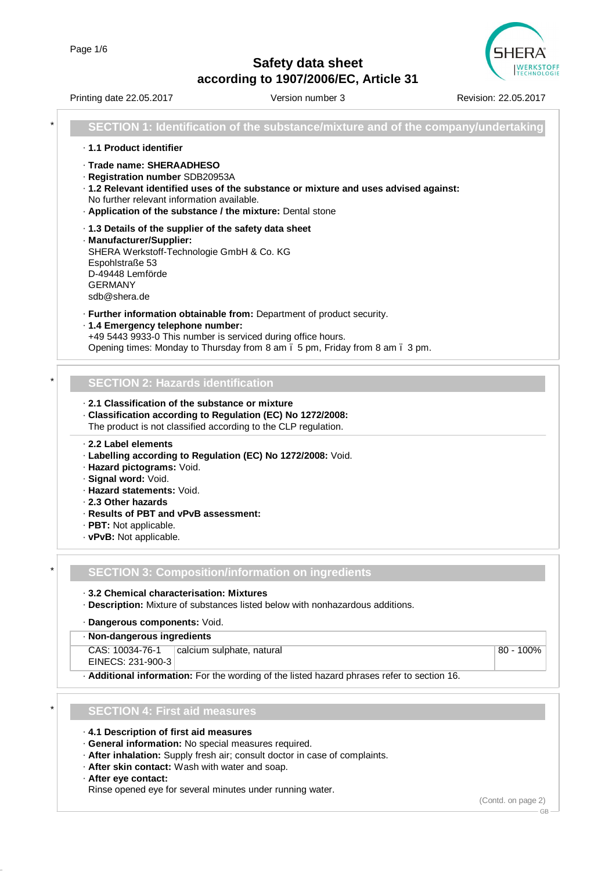

|   | Printing date 22.05.2017                                                                                                                                                                                | Version number 3                                                                                                                                       | Revision: 22.05.2017 |
|---|---------------------------------------------------------------------------------------------------------------------------------------------------------------------------------------------------------|--------------------------------------------------------------------------------------------------------------------------------------------------------|----------------------|
| * |                                                                                                                                                                                                         | SECTION 1: Identification of the substance/mixture and of the company/undertaking                                                                      |                      |
|   | · 1.1 Product identifier                                                                                                                                                                                |                                                                                                                                                        |                      |
|   | · Trade name: SHERAADHESO<br>· Registration number SDB20953A<br>No further relevant information available.<br>. Application of the substance / the mixture: Dental stone                                | · 1.2 Relevant identified uses of the substance or mixture and uses advised against:                                                                   |                      |
|   | .1.3 Details of the supplier of the safety data sheet<br>· Manufacturer/Supplier:<br>SHERA Werkstoff-Technologie GmbH & Co. KG<br>Espohlstraße 53<br>D-49448 Lemförde<br><b>GERMANY</b><br>sdb@shera.de |                                                                                                                                                        |                      |
|   | · 1.4 Emergency telephone number:<br>+49 5443 9933-0 This number is serviced during office hours.                                                                                                       | · Further information obtainable from: Department of product security.<br>Opening times: Monday to Thursday from 8 am . 5 pm, Friday from 8 am . 3 pm. |                      |
|   |                                                                                                                                                                                                         |                                                                                                                                                        |                      |
|   | <b>SECTION 2: Hazards identification</b>                                                                                                                                                                |                                                                                                                                                        |                      |
|   | 2.1 Classification of the substance or mixture<br>· Classification according to Regulation (EC) No 1272/2008:<br>The product is not classified according to the CLP regulation.                         |                                                                                                                                                        |                      |
|   | 2.2 Label elements<br>· Labelling according to Regulation (EC) No 1272/2008: Void.<br>· Hazard pictograms: Void.<br>· Signal word: Void.<br>· Hazard statements: Void.                                  |                                                                                                                                                        |                      |
|   | . 2.3 Other hazards                                                                                                                                                                                     |                                                                                                                                                        |                      |
|   | · Results of PBT and vPvB assessment:<br>· PBT: Not applicable.                                                                                                                                         |                                                                                                                                                        |                      |
|   | · vPvB: Not applicable.                                                                                                                                                                                 |                                                                                                                                                        |                      |
|   |                                                                                                                                                                                                         |                                                                                                                                                        |                      |
|   |                                                                                                                                                                                                         | <b>SECTION 3: Composition/information on ingredients</b>                                                                                               |                      |
|   | 3.2 Chemical characterisation: Mixtures                                                                                                                                                                 | · Description: Mixture of substances listed below with nonhazardous additions.                                                                         |                      |
|   | · Dangerous components: Void.<br>· Non-dangerous ingredients                                                                                                                                            |                                                                                                                                                        |                      |
|   | CAS: 10034-76-1                                                                                                                                                                                         | calcium sulphate, natural                                                                                                                              | 80 - 100%            |
|   | EINECS: 231-900-3                                                                                                                                                                                       |                                                                                                                                                        |                      |
|   |                                                                                                                                                                                                         | . Additional information: For the wording of the listed hazard phrases refer to section 16.                                                            |                      |
|   | <b>SECTION 4: First aid measures</b>                                                                                                                                                                    |                                                                                                                                                        |                      |
|   | . 4.1 Description of first aid measures                                                                                                                                                                 |                                                                                                                                                        |                      |
|   | · General information: No special measures required.                                                                                                                                                    |                                                                                                                                                        |                      |
|   | . After skin contact: Wash with water and soap.                                                                                                                                                         | · After inhalation: Supply fresh air; consult doctor in case of complaints.                                                                            |                      |
|   | · After eye contact:                                                                                                                                                                                    |                                                                                                                                                        |                      |
|   |                                                                                                                                                                                                         | Rinse opened eye for several minutes under running water.                                                                                              |                      |

(Contd. on page 2)

 $-$  GB  $-$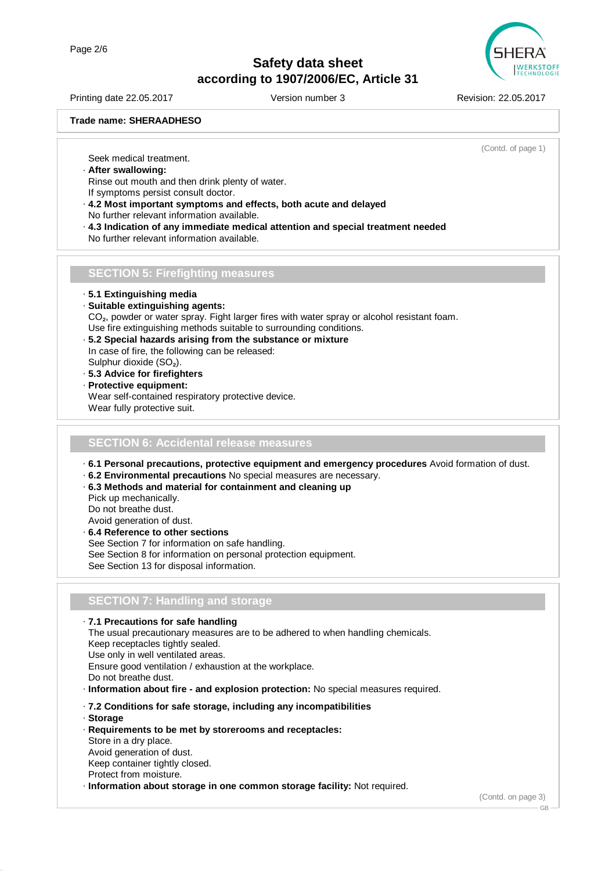

Printing date 22.05.2017 Version number 3 Revision: 22.05.2017

#### **Trade name: SHERAADHESO**

(Contd. of page 1)

Seek medical treatment.

- · **After swallowing:**
- Rinse out mouth and then drink plenty of water. If symptoms persist consult doctor.
- · **4.2 Most important symptoms and effects, both acute and delayed** No further relevant information available.
- · **4.3 Indication of any immediate medical attention and special treatment needed** No further relevant information available.
- **SECTION 5: Firefighting measures**

· **5.1 Extinguishing media**

- · **Suitable extinguishing agents:**
- CO<sub>2</sub>, powder or water spray. Fight larger fires with water spray or alcohol resistant foam.
- Use fire extinguishing methods suitable to surrounding conditions.
- · **5.2 Special hazards arising from the substance or mixture** In case of fire, the following can be released: Sulphur dioxide (SO₂).
- · **5.3 Advice for firefighters**
- · **Protective equipment:** Wear self-contained respiratory protective device. Wear fully protective suit.

#### **SECTION 6: Accidental release measures**

- · **6.1 Personal precautions, protective equipment and emergency procedures** Avoid formation of dust.
- · **6.2 Environmental precautions** No special measures are necessary.
- · **6.3 Methods and material for containment and cleaning up**
- Pick up mechanically. Do not breathe dust. Avoid generation of dust.
- · **6.4 Reference to other sections** See Section 7 for information on safe handling. See Section 8 for information on personal protection equipment. See Section 13 for disposal information.

## **SECTION 7: Handling and storage**

· **7.1 Precautions for safe handling** The usual precautionary measures are to be adhered to when handling chemicals. Keep receptacles tightly sealed. Use only in well ventilated areas. Ensure good ventilation / exhaustion at the workplace. Do not breathe dust. · **Information about fire - and explosion protection:** No special measures required. · **7.2 Conditions for safe storage, including any incompatibilities**

- · **Storage**
- · **Requirements to be met by storerooms and receptacles:**

Store in a dry place. Avoid generation of dust. Keep container tightly closed. Protect from moisture.

· **Information about storage in one common storage facility:** Not required.

(Contd. on page 3)

GB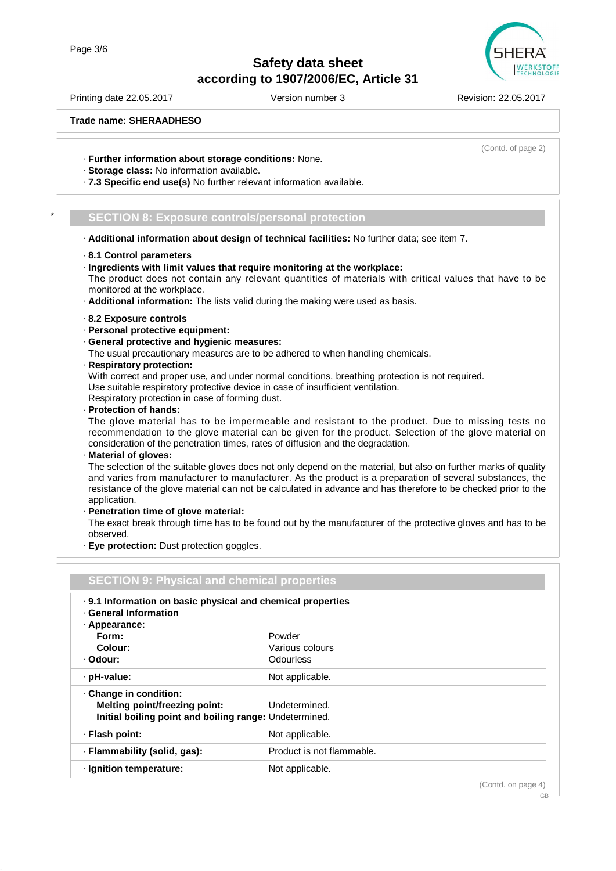

Printing date 22.05.2017 Version number 3 Revision: 22.05.2017

(Contd. of page 2)

GB

**Trade name: SHERAADHESO**

· **Further information about storage conditions:** None.

- · **Storage class:** No information available.
- · **7.3 Specific end use(s)** No further relevant information available.

### \* **SECTION 8: Exposure controls/personal protection**

- · **Additional information about design of technical facilities:** No further data; see item 7.
- · **8.1 Control parameters**
- · **Ingredients with limit values that require monitoring at the workplace:** The product does not contain any relevant quantities of materials with critical values that have to be monitored at the workplace.
- · **Additional information:** The lists valid during the making were used as basis.
- · **8.2 Exposure controls**
- · **Personal protective equipment:**
- · **General protective and hygienic measures:**

The usual precautionary measures are to be adhered to when handling chemicals.

· **Respiratory protection:**

With correct and proper use, and under normal conditions, breathing protection is not required. Use suitable respiratory protective device in case of insufficient ventilation. Respiratory protection in case of forming dust.

· **Protection of hands:**

The glove material has to be impermeable and resistant to the product. Due to missing tests no recommendation to the glove material can be given for the product. Selection of the glove material on consideration of the penetration times, rates of diffusion and the degradation.

· **Material of gloves:**

The selection of the suitable gloves does not only depend on the material, but also on further marks of quality and varies from manufacturer to manufacturer. As the product is a preparation of several substances, the resistance of the glove material can not be calculated in advance and has therefore to be checked prior to the application.

· **Penetration time of glove material:**

The exact break through time has to be found out by the manufacturer of the protective gloves and has to be observed.

· **Eye protection:** Dust protection goggles.

| <b>SECTION 9: Physical and chemical properties</b>                                                    |                           |  |
|-------------------------------------------------------------------------------------------------------|---------------------------|--|
| . 9.1 Information on basic physical and chemical properties<br>· General Information<br>· Appearance: |                           |  |
| Form:                                                                                                 | Powder                    |  |
| Colour:                                                                                               | Various colours           |  |
| · Odour:                                                                                              | Odourless                 |  |
| · pH-value:                                                                                           | Not applicable.           |  |
| · Change in condition:                                                                                |                           |  |
| Melting point/freezing point:                                                                         | Undetermined.             |  |
| Initial boiling point and boiling range: Undetermined.                                                |                           |  |
| · Flash point:                                                                                        | Not applicable.           |  |
| · Flammability (solid, gas):                                                                          | Product is not flammable. |  |
| $\cdot$ Ignition temperature:                                                                         | Not applicable.           |  |
|                                                                                                       | (Contd. on page 4)        |  |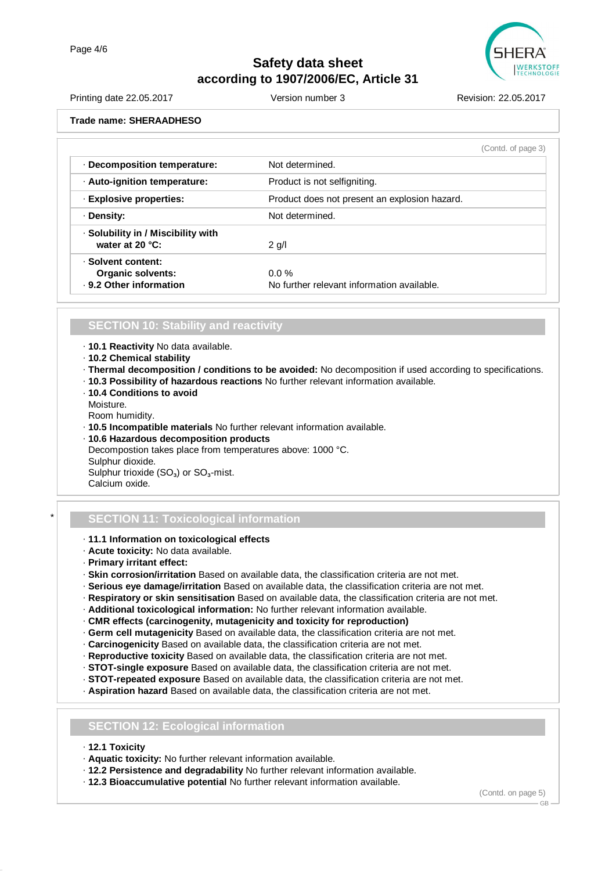

Printing date 22.05.2017 Version number 3 Revision: 22.05.2017 **Trade name: SHERAADHESO**

|                                                                           | (Contd. of page 3)                                    |  |
|---------------------------------------------------------------------------|-------------------------------------------------------|--|
| Decomposition temperature:                                                | Not determined.                                       |  |
| · Auto-ignition temperature:                                              | Product is not selfigniting.                          |  |
| · Explosive properties:                                                   | Product does not present an explosion hazard.         |  |
| · Density:                                                                | Not determined.                                       |  |
| · Solubility in / Miscibility with<br>water at $20 °C$ :                  | $2$ g/l                                               |  |
| · Solvent content:<br><b>Organic solvents:</b><br>· 9.2 Other information | $0.0\%$<br>No further relevant information available. |  |

### **SECTION 10: Stability and reactivity**

- · **10.1 Reactivity** No data available.
- · **10.2 Chemical stability**
- · **Thermal decomposition / conditions to be avoided:** No decomposition if used according to specifications.
- · **10.3 Possibility of hazardous reactions** No further relevant information available.
- · **10.4 Conditions to avoid**
- Moisture.

Room humidity.

- · **10.5 Incompatible materials** No further relevant information available.
- · **10.6 Hazardous decomposition products** Decompostion takes place from temperatures above: 1000 °C. Sulphur dioxide. Sulphur trioxide (SO<sub>2</sub>) or SO<sub>2</sub>-mist. Calcium oxide.

## \* **SECTION 11: Toxicological information**

- · **11.1 Information on toxicological effects**
- · **Acute toxicity:** No data available.
- · **Primary irritant effect:**
- · **Skin corrosion/irritation** Based on available data, the classification criteria are not met.
- · **Serious eye damage/irritation** Based on available data, the classification criteria are not met.
- · **Respiratory or skin sensitisation** Based on available data, the classification criteria are not met.
- · **Additional toxicological information:** No further relevant information available.
- · **CMR effects (carcinogenity, mutagenicity and toxicity for reproduction)**
- · **Germ cell mutagenicity** Based on available data, the classification criteria are not met.
- · **Carcinogenicity** Based on available data, the classification criteria are not met.
- · **Reproductive toxicity** Based on available data, the classification criteria are not met.
- · **STOT-single exposure** Based on available data, the classification criteria are not met.
- · **STOT-repeated exposure** Based on available data, the classification criteria are not met.
- · **Aspiration hazard** Based on available data, the classification criteria are not met.

### **SECTION 12: Ecological information**

- · **12.1 Toxicity**
- · **Aquatic toxicity:** No further relevant information available.
- · **12.2 Persistence and degradability** No further relevant information available.
- · **12.3 Bioaccumulative potential** No further relevant information available.

(Contd. on page 5)

GB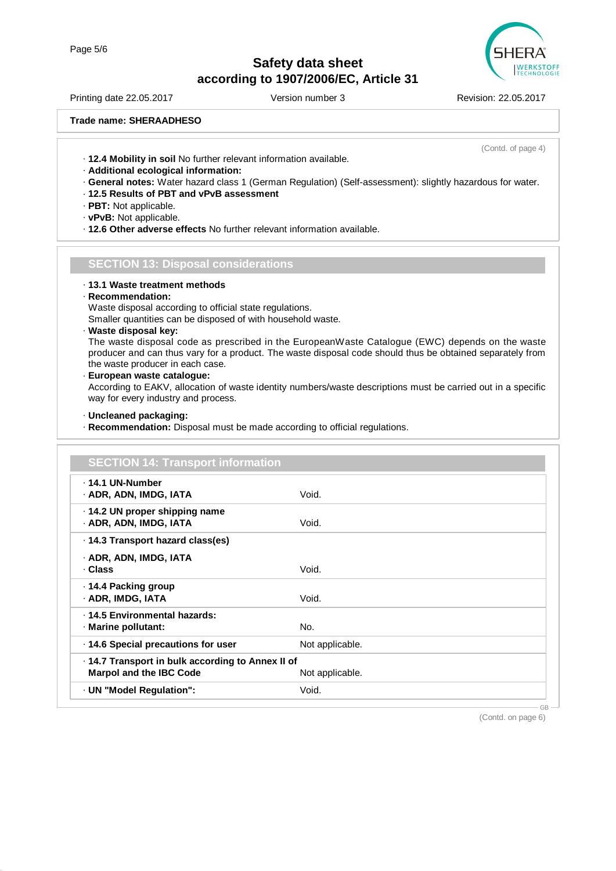

Printing date 22.05.2017 Version number 3 Revision: 22.05.2017

(Contd. of page 4)

**Trade name: SHERAADHESO**

· **12.4 Mobility in soil** No further relevant information available.

- · **Additional ecological information:**
- · **General notes:** Water hazard class 1 (German Regulation) (Self-assessment): slightly hazardous for water.
- · **12.5 Results of PBT and vPvB assessment**
- · **PBT:** Not applicable.
- · **vPvB:** Not applicable.
- · **12.6 Other adverse effects** No further relevant information available.

#### **SECTION 13: Disposal considerations**

· **13.1 Waste treatment methods**

#### · **Recommendation:**

Waste disposal according to official state regulations.

Smaller quantities can be disposed of with household waste.

· **Waste disposal key:**

The waste disposal code as prescribed in the EuropeanWaste Catalogue (EWC) depends on the waste producer and can thus vary for a product. The waste disposal code should thus be obtained separately from the waste producer in each case.

· **European waste catalogue:**

According to EAKV, allocation of waste identity numbers/waste descriptions must be carried out in a specific way for every industry and process.

#### · **Uncleaned packaging:**

· **Recommendation:** Disposal must be made according to official regulations.

| <b>SECTION 14: Transport information</b>                                            |                 |  |
|-------------------------------------------------------------------------------------|-----------------|--|
| ⋅ 14.1 UN-Number<br>· ADR, ADN, IMDG, IATA                                          | Void.           |  |
| · 14.2 UN proper shipping name<br>· ADR, ADN, IMDG, IATA                            | Void.           |  |
| ⋅ 14.3 Transport hazard class(es)                                                   |                 |  |
| · ADR, ADN, IMDG, IATA<br>· Class                                                   | Void.           |  |
| ⋅ 14.4 Packing group<br>· ADR, IMDG, IATA                                           | Void.           |  |
| · 14.5 Environmental hazards:<br>· Marine pollutant:                                | No.             |  |
| .14.6 Special precautions for user                                                  | Not applicable. |  |
| · 14.7 Transport in bulk according to Annex II of<br><b>Marpol and the IBC Code</b> | Not applicable. |  |
| · UN "Model Regulation":                                                            | Void.           |  |

(Contd. on page 6)

GB